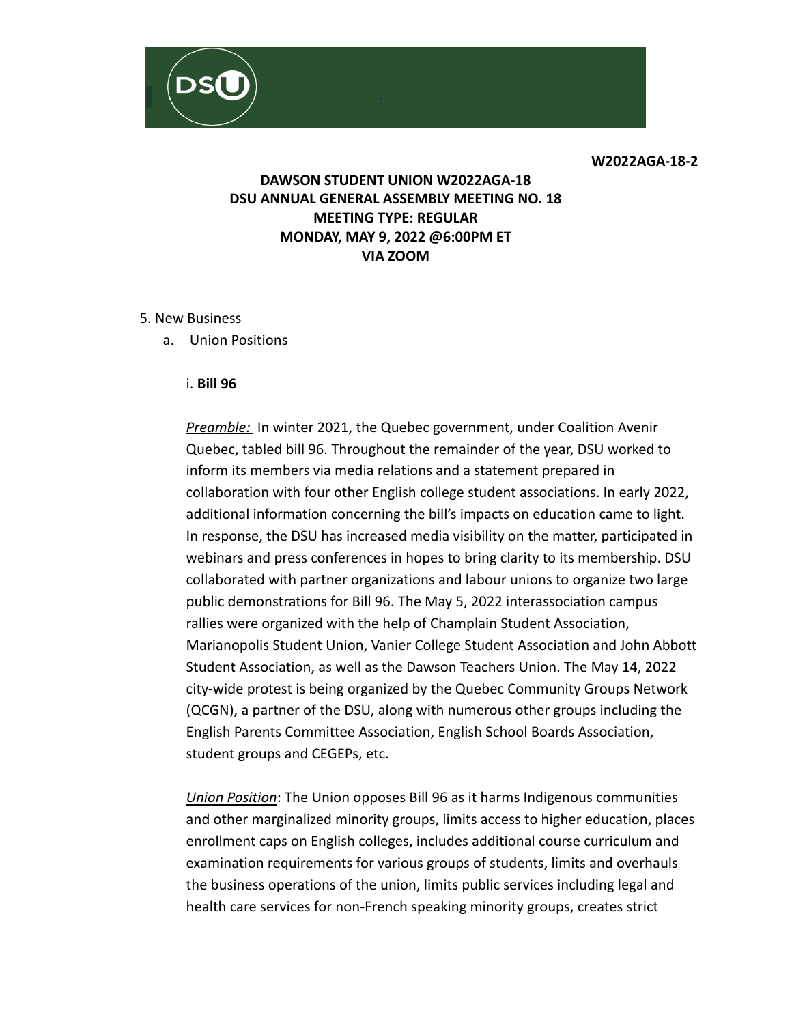**W2022AGA-18-2**

# **DAWSON STUDENT UNION W2022AGA-18 DSU ANNUAL GENERAL ASSEMBLY MEETING NO. 18 MEETING TYPE: REGULAR MONDAY, MAY 9, 2022 @6:00PM ET VIA ZOOM**

#### 5. New Business

a. Union Positions

#### i. **Bill 96**

*Preamble:* In winter 2021, the Quebec government, under Coalition Avenir Quebec, tabled bill 96. Throughout the remainder of the year, DSU worked to inform its members via media relations and a statement prepared in collaboration with four other English college student associations. In early 2022, additional information concerning the bill's impacts on education came to light. In response, the DSU has increased media visibility on the matter, participated in webinars and press conferences in hopes to bring clarity to its membership. DSU collaborated with partner organizations and labour unions to organize two large public demonstrations for Bill 96. The May 5, 2022 interassociation campus rallies were organized with the help of Champlain Student Association, Marianopolis Student Union, Vanier College Student Association and John Abbott Student Association, as well as the Dawson Teachers Union. The May 14, 2022 city-wide protest is being organized by the Quebec Community Groups Network (QCGN), a partner of the DSU, along with numerous other groups including the English Parents Committee Association, English School Boards Association, student groups and CEGEPs, etc.

*Union Position*: The Union opposes Bill 96 as it harms Indigenous communities and other marginalized minority groups, limits access to higher education, places enrollment caps on English colleges, includes additional course curriculum and examination requirements for various groups of students, limits and overhauls the business operations of the union, limits public services including legal and health care services for non-French speaking minority groups, creates strict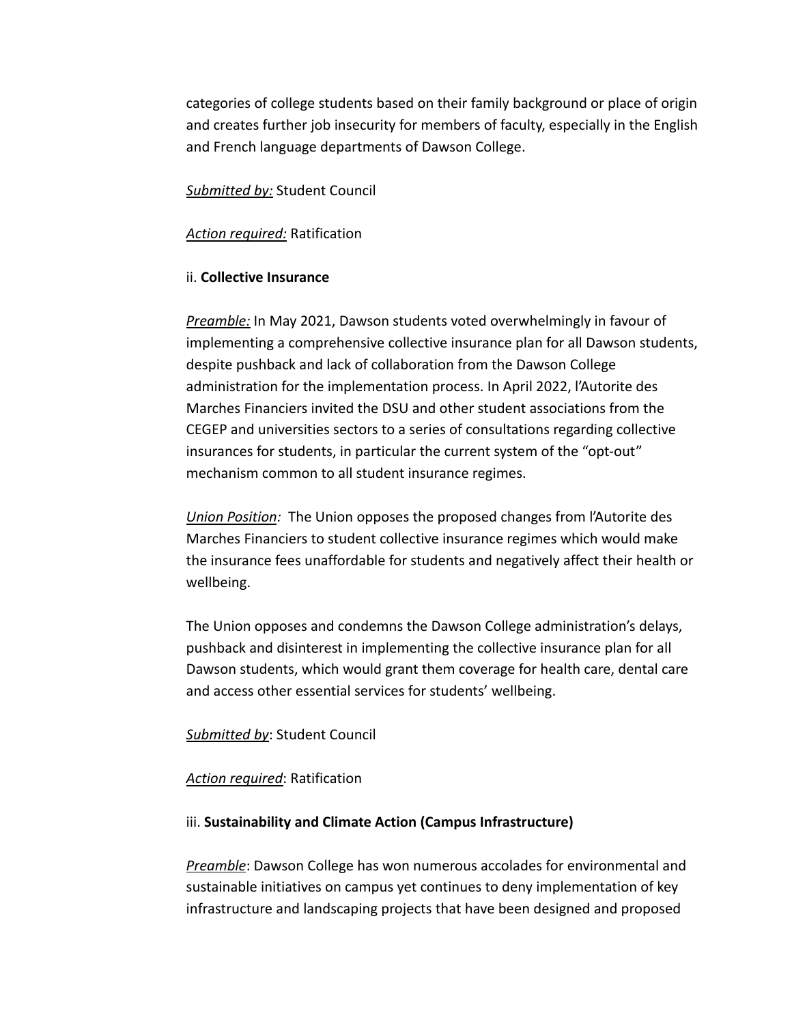categories of college students based on their family background or place of origin and creates further job insecurity for members of faculty, especially in the English and French language departments of Dawson College.

*Submitted by:* Student Council

### *Action required:* Ratification

### ii. **Collective Insurance**

*Preamble:* In May 2021, Dawson students voted overwhelmingly in favour of implementing a comprehensive collective insurance plan for all Dawson students, despite pushback and lack of collaboration from the Dawson College administration for the implementation process. In April 2022, l'Autorite des Marches Financiers invited the DSU and other student associations from the CEGEP and universities sectors to a series of consultations regarding collective insurances for students, in particular the current system of the "opt-out" mechanism common to all student insurance regimes.

*Union Position:* The Union opposes the proposed changes from l'Autorite des Marches Financiers to student collective insurance regimes which would make the insurance fees unaffordable for students and negatively affect their health or wellbeing.

The Union opposes and condemns the Dawson College administration's delays, pushback and disinterest in implementing the collective insurance plan for all Dawson students, which would grant them coverage for health care, dental care and access other essential services for students' wellbeing.

### *Submitted by*: Student Council

### *Action required*: Ratification

#### iii. **Sustainability and Climate Action (Campus Infrastructure)**

*Preamble*: Dawson College has won numerous accolades for environmental and sustainable initiatives on campus yet continues to deny implementation of key infrastructure and landscaping projects that have been designed and proposed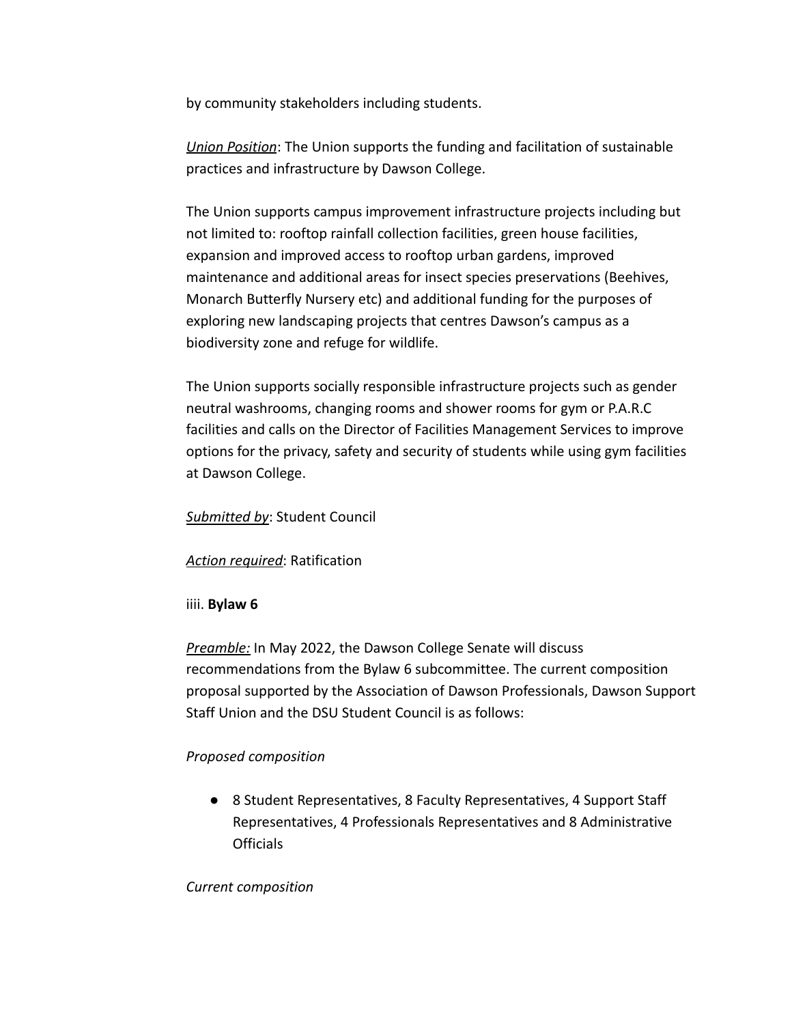by community stakeholders including students.

*Union Position*: The Union supports the funding and facilitation of sustainable practices and infrastructure by Dawson College.

The Union supports campus improvement infrastructure projects including but not limited to: rooftop rainfall collection facilities, green house facilities, expansion and improved access to rooftop urban gardens, improved maintenance and additional areas for insect species preservations (Beehives, Monarch Butterfly Nursery etc) and additional funding for the purposes of exploring new landscaping projects that centres Dawson's campus as a biodiversity zone and refuge for wildlife.

The Union supports socially responsible infrastructure projects such as gender neutral washrooms, changing rooms and shower rooms for gym or P.A.R.C facilities and calls on the Director of Facilities Management Services to improve options for the privacy, safety and security of students while using gym facilities at Dawson College.

## *Submitted by*: Student Council

# *Action required*: Ratification

# iiii. **Bylaw 6**

*Preamble:* In May 2022, the Dawson College Senate will discuss recommendations from the Bylaw 6 subcommittee. The current composition proposal supported by the Association of Dawson Professionals, Dawson Support Staff Union and the DSU Student Council is as follows:

# *Proposed composition*

● 8 Student Representatives, 8 Faculty Representatives, 4 Support Staff Representatives, 4 Professionals Representatives and 8 Administrative Officials

## *Current composition*